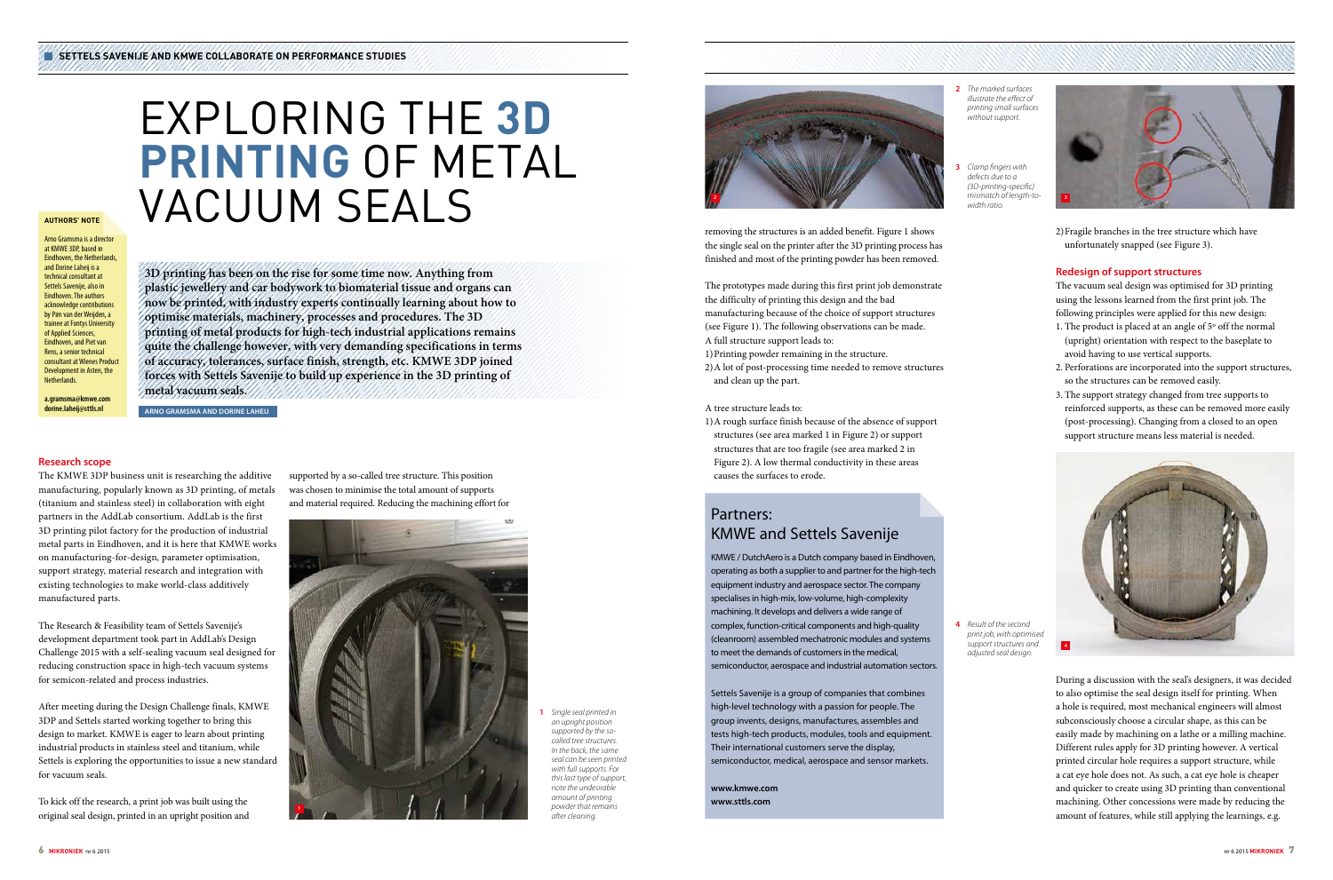# EXPLORING THE **3D PRINTING** OF METAL VACUUM SEALS

Arno Gramsma is a director at KMWF 3DP, based in Eindhoven, the Netherlands and Dorine Laheij is a technical consultant at Settels Savenije, also in Eindhoven. The authors acknowledge contributions by Pim van der Weijden, a trainee at Fontys University of Applied Sciences, Eindhoven, and Piet van Rens, a senior technical consultant at Wienes Product Development in Asten, the **Netherlands** 

**3D printing has been on the rise for some time now. Anything from plastic jewellery and car bodywork to biomaterial tissue and organs can now be printed, with industry experts continually learning about how to optimise materials, machinery, processes and procedures. The 3D printing of metal products for high-tech industrial applications remains quite the challenge however, with very demanding specifications in terms of accuracy, tolerances, surface finish, strength, etc. KMWE 3DP joined forces with Settels Savenije to build up experience in the 3D printing of metal vacuum seals.**

**ARNO GRAMSMA AND DORINE LAHEIJ**

## **AUTHORS' NOTE**

**a.gramsma@kmwe.com dorine.laheij@sttls.nl**

## Partners: KMWE and Settels Savenije

KMWE / DutchAero is a Dutch company based in Eindhoven, operating as both a supplier to and partner for the high-tech equipment industry and aerospace sector. The company specialises in high-mix, low-volume, high-complexity machining. It develops and delivers a wide range of complex, function-critical components and high-quality (cleanroom) assembled mechatronic modules and systems to meet the demands of customers in the medical, semiconductor, aerospace and industrial automation sectors.

Settels Savenije is a group of companies that combines high-level technology with a passion for people. The group invents, designs, manufactures, assembles and tests high-tech products, modules, tools and equipment. Their international customers serve the display, semiconductor, medical, aerospace and sensor markets.

**www.kmwe.com www.sttls.com**

## **Research scope**

The KMWE 3DP business unit is researching the additive manufacturing, popularly known as 3D printing, of metals (titanium and stainless steel) in collaboration with eight partners in the AddLab consortium. AddLab is the first 3D printing pilot factory for the production of industrial metal parts in Eindhoven, and it is here that KMWE works on manufacturing-for-design, parameter optimisation, support strategy, material research and integration with existing technologies to make world-class additively manufactured parts.

The Research & Feasibility team of Settels Savenije's development department took part in AddLab's Design Challenge 2015 with a self-sealing vacuum seal designed for reducing construction space in high-tech vacuum systems for semicon-related and process industries.

After meeting during the Design Challenge finals, KMWE 3DP and Settels started working together to bring this design to market. KMWE is eager to learn about printing industrial products in stainless steel and titanium, while Settels is exploring the opportunities to issue a new standard for vacuum seals.

To kick off the research, a print job was built using the original seal design, printed in an upright position and supported by a so-called tree structure. This position was chosen to minimise the total amount of supports and material required. Reducing the machining effort for

removing the structures is an added benefit. Figure 1 shows the single seal on the printer after the 3D printing process has finished and most of the printing powder has been removed.

The prototypes made during this first print job demonstrate the difficulty of printing this design and the bad manufacturing because of the choice of support structures (see Figure 1). The following observations can be made. A full structure support leads to:

- 1)Printing powder remaining in the structure.
- 2) A lot of post-processing time needed to remove structures and clean up the part.

#### A tree structure leads to:

1) A rough surface finish because of the absence of support structures (see area marked 1 in Figure 2) or support structures that are too fragile (see area marked 2 in Figure 2). A low thermal conductivity in these areas causes the surfaces to erode.

2) Fragile branches in the tree structure which have unfortunately snapped (see Figure 3).

## **Redesign of support structures**

The vacuum seal design was optimised for 3D printing using the lessons learned from the first print job. The following principles were applied for this new design:

- 1. The product is placed at an angle of 5º off the normal (upright) orientation with respect to the baseplate to avoid having to use vertical supports.
- 2. Perforations are incorporated into the support structures, so the structures can be removed easily.
- 3. The support strategy changed from tree supports to reinforced supports, as these can be removed more easily (post-processing). Changing from a closed to an open support structure means less material is needed.

**1** *Single seal printed in an upright position supported by the socalled tree structures. In the back, the same seal can be seen printed with full supports. For this last type of support, note the undesirable amount of printing powder that remains after cleaning.* 

**2** *The marked surfaces illustrate the effect of printing small surfaces without support.*

**3** *Clamp fingers with defects due to a (3D-printing-specific) width ratio.*







**4** *Result of the second print job, with optimised support structures and adjusted seal design.*



During a discussion with the seal's designers, it was decided to also optimise the seal design itself for printing. When a hole is required, most mechanical engineers will almost subconsciously choose a circular shape, as this can be easily made by machining on a lathe or a milling machine. Different rules apply for 3D printing however. A vertical printed circular hole requires a support structure, while a cat eye hole does not. As such, a cat eye hole is cheaper and quicker to create using 3D printing than conventional machining. Other concessions were made by reducing the amount of features, while still applying the learnings, e.g.